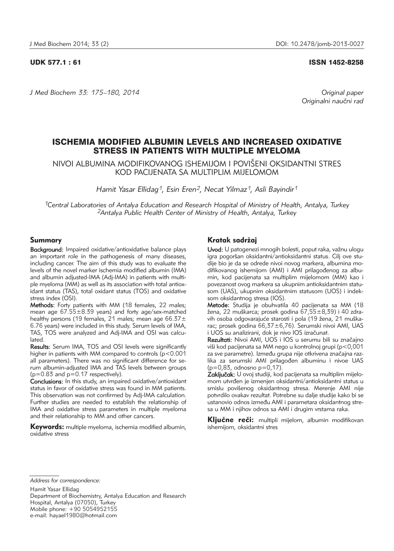*J Med Biochem 33: 175–180, 2014 Original paper*

UDK 577.1 : 61 ISSN 1452-8258

Originalni naučni rad

# ISCHEMIA MODIFIED ALBUMIN LEVELS AND INCREASED OXIDATIVE STRESS IN PATIENTS WITH MULTIPLE MYELOMA

NIVOI ALBUMINA MODIFIKOVANOG ISHEMIJOM I POVIŠENI OKSIDANTNI STRES KOD PACIJENATA SA MULTIPLIM MIJELOMOM

*Hamit Yasar Ellidag1, Esin Eren2, Necat Yilmaz1, Asli Bayindir1*

*1Central Laboratories of Antalya Education and Research Hospital of Ministry of Health, Antalya, Turkey 2Antalya Public Health Center of Ministry of Health, Antalya, Turkey*

### Summary

Background: Impaired oxidative/antioxidative balance plays an important role in the pathogenesis of many diseases, including cancer. The aim of this study was to evaluate the levels of the novel marker ischemia modified albumin (IMA) and albumin adjusted-IMA (Adj-IMA) in patients with multiple myeloma (MM) as well as its association with total antioxidant status (TAS), total oxidant status (TOS) and oxidative stress index (OSI).

Methods: Forty patients with MM (18 females, 22 males; mean age 67.55±8.39 years) and forty age/sex-matched healthy persons (19 females, 21 males; mean age 66.37 $\pm$ 6.76 years) were included in this study. Serum levels of IMA, TAS, TOS were analyzed and Adj-IMA and OSI was calculated.

Results: Serum IMA, TOS and OSI levels were significantly higher in patients with MM compared to controls (p<0.001 all parameters). There was no significant difference for serum albumin-adjusted IMA and TAS levels between groups  $(p=0.83$  and  $p=0.17$  respectively).

Conclusions: In this study, an impaired oxidative/antioxidant status in favor of oxidative stress was found in MM patients. This observation was not confirmed by Adj-IMA calculation. Further studies are needed to establish the relationship of IMA and oxidative stress parameters in multiple myeloma and their relationship to MM and other cancers.

Keywords: multiple myeloma, ischemia modified albumin, oxidative stress

## Kratak sadržaj

Uvod: U patogenezi mnogih bolesti, poput raka, važnu ulogu igra pogoršan oksidantni/antioksidantni status. Cilj ove studije bio je da se odrede nivoi novog markera, albumina modifikovanog ishemijom (AMI) i AMI prilagođenog za albumin, kod pacijenata sa multiplim mijelomom (MM) kao i povezanost ovog markera sa ukupnim antioksidantnim statusom (UAS), ukupnim oksidantnim statusom (UOS) i indeksom oksidantnog stresa (IOS).

Metode: Studija je obuhvatila 40 pacijenata sa MM (18 žena, 22 muškarca; prosek godina  $67,55\pm8,39$ ) i 40 zdravih osoba odgovarajuće starosti i pola (19 žena, 21 muškarac; prosek godina 66,37±6,76). Serumski nivoi AMI, UAS i UOS su analizirani, dok je nivo IOS izračunat.

Rezultati: Nivoi AMI, UOS i IOS u serumu bili su značajno viši kod pacijenata sa MM nego u kontrolnoj grupi (p<0,001 za sve parametre). Između grupa nije otkrivena značajna razlika za serumski AMI prilagođen albuminu i nivoe UAS  $(p=0.83,$  odnosno  $p=0.17$ ).

Zaključak: U ovoj studiji, kod pacijenata sa multiplim mijelomom utvrđen je izmenjen oksidantni/antioksidantni status u smislu povišenog oksidantnog stresa. Merenje AMI nije potvrdilo ovakav rezultat. Potrebne su dalje studije kako bi se ustanovio odnos između AMI i parametara oksidantnog stresa u MM i njihov odnos sa AMI i drugim vrstama raka.

Ključne reči: multipli mijelom, albumin modifikovan ishemijom, oksidantni stres

*Address for correspondence:*

Hamit Yasar Ellidag Department of Biochemistry, Antalya Education and Research Hospital, Antalya (07050), Turkey Mobile phone: +90 5054952155 e-mail: hayael1980@hotmail.com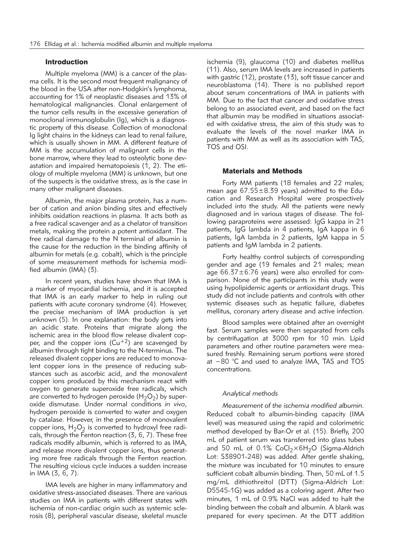#### Introduction

Multiple myeloma (MM) is a cancer of the plasma cells. It is the second most frequent malignancy of the blood in the USA after non-Hodgkin's lymphoma, accounting for 1% of neoplastic diseases and 13% of hematological malignancies. Clonal enlargement of the tumor cells results in the excessive generation of monoclonal immunoglobulin (Ig), which is a diagnostic property of this disease. Collection of monoclonal Ig light chains in the kidneys can lead to renal failure, which is usually shown in MM. A different feature of MM is the accumulation of malignant cells in the bone marrow, where they lead to osteolytic bone devastation and impaired hematopoiesis (1, 2). The etiology of multiple myeloma (MM) is unknown, but one of the suspects is the oxidative stress, as is the case in many other malignant diseases.

Albumin, the major plasma protein, has a number of cation and anion binding sites and effectively inhibits oxidation reactions in plasma. It acts both as a free radical scavenger and as a chelator of transition metals, making the protein a potent antioxidant. The free radical damage to the N terminal of albumin is the cause for the reduction in the binding affinity of albumin for metals (e.g. cobalt), which is the principle of some measurement methods for ischemia modified albumin (IMA) (3).

In recent years, studies have shown that IMA is a marker of myocardial ischemia, and it is accepted that IMA is an early marker to help in ruling out patients with acute coronary syndrome (4). However, the precise mechanism of IMA production is yet unknown (5). In one explanation: the body gets into an acidic state. Proteins that migrate along the ischemic area in the blood flow release divalent copper, and the copper ions  $(Cu^{+2})$  are scavenged by albumin through tight binding to the N-terminus. The released divalent copper ions are reduced to monovalent copper ions in the presence of reducing substances such as ascorbic acid, and the monovalent copper ions produced by this mechanism react with oxygen to generate superoxide free radicals, which are converted to hydrogen peroxide  $(H_2O_2)$  by superoxide dismutase. Under normal conditions *in vivo*, hydrogen peroxide is converted to water and oxygen by catalase. However, in the presence of monovalent copper ions,  $H_2O_2$  is converted to hydroxyl free radicals, through the Fenton reaction (3, 6, 7). These free radicals modify albumin, which is referred to as IMA, and release more divalent copper ions, thus generating more free radicals through the Fenton reaction. The resulting vicious cycle induces a sudden increase in IMA (3, 6, 7).

IMA levels are higher in many inflammatory and oxidative stress-associated diseases. There are various studies on IMA in patients with different states with ischemia of non-cardiac origin such as systemic sclerosis (8), peripheral vascular disease, skeletal muscle

ischemia (9), glaucoma (10) and diabetes mellitus (11). Also, serum IMA levels are increased in patients with gastric (12), prostate (13), soft tissue cancer and neuroblastoma (14). There is no published report about serum concentrations of IMA in patients with MM. Due to the fact that cancer and oxidative stress belong to an associated event, and based on the fact that albumin may be modified in situations associated with oxidative stress, the aim of this study was to evaluate the levels of the novel marker IMA in patients with MM as well as its association with TAS, TOS and OSI.

#### Materials and Methods

Forty MM patients (18 females and 22 males; mean age  $67.55 \pm 8.39$  years) admitted to the Education and Research Hospital were prospectively included into the study. All the patients were newly diagnosed and in various stages of disease. The following paraproteins were assessed: IgG kappa in 21 patients, IgG lambda in 4 patients, IgA kappa in 6 patients, IgA lambda in 2 patients, IgM kappa in 5 patients and IgM lambda in 2 patients.

Forty healthy control subjects of corresponding gender and age (19 females and 21 males; mean age  $66.37 \pm 6.76$  years) were also enrolled for comparison. None of the participants in this study were using hypolipidemic agents or antioxidant drugs. This study did not include patients and controls with other systemic diseases such as hepatic failure, diabetes mellitus, coronary artery disease and active infection.

Blood samples were obtained after an overnight fast. Serum samples were then separated from cells by centrifugation at 3000 rpm for 10 min. Lipid parameters and other routine parameters were measured freshly. Remaining serum portions were stored at −80 °C and used to analyze IMA, TAS and TOS concentrations.

#### *Analytical methods*

*Measurement of the ischemia modified albumin.* Reduced cobalt to albumin-binding capacity (IMA level) was measured using the rapid and colorimetric method developed by Bar-Or et al. (15). Briefly, 200 mL of patient serum was transferred into glass tubes and 50 mL of 0.1%  $CoCl<sub>2</sub>×6H<sub>2</sub>O$  (Sigma-Aldrich Lot: S38901-248) was added. After gentle shaking, the mixture was incubated for 10 minutes to ensure sufficient cobalt albumin binding. Then, 50 mL of 1.5 mg/mL dithiothreitol (DTT) (Sigma-Aldrich Lot: D5545-1G) was added as a coloring agent. After two minutes, 1 mL of 0.9% NaCl was added to halt the binding between the cobalt and albumin. A blank was prepared for every specimen. At the DTT addition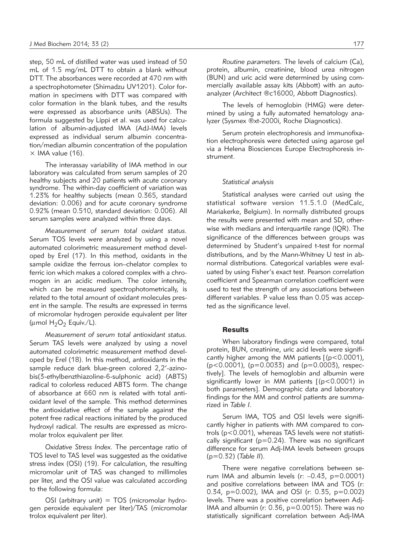step, 50 mL of distilled water was used instead of 50 mL of 1.5 mg/mL DTT to obtain a blank without DTT. The absorbances were recorded at 470 nm with a spectrophotometer (Shimadzu UV1201). Color formation in specimens with DTT was compared with color formation in the blank tubes, and the results were expressed as absorbance units (ABSUs). The formula suggested by Lippi et al. was used for calculation of albumin-adjusted IMA (AdJ-IMA) levels expressed as individual serum albumin concentration/median albumin concentration of the population  $\times$  IMA value (16).

The interassay variability of IMA method in our laboratory was calculated from serum samples of 20 healthy subjects and 20 patients with acute coronary syndrome. The within-day coefficient of variation was 1.23% for healthy subjects (mean 0.365, standard deviation: 0.006) and for acute coronary syndrome 0.92% (mean 0.510, standard deviation: 0.006). All serum samples were analyzed within three days.

*Measurement of serum total oxidant status.* Serum TOS levels were analyzed by using a novel automated colorimetric measurement method developed by Erel (17). In this method, oxidants in the sample oxidize the ferrous ion–chelator complex to ferric ion which makes a colored complex with a chromogen in an acidic medium. The color intensity, which can be measured spectrophotometrically, is related to the total amount of oxidant molecules present in the sample. The results are expressed in terms of micromolar hydrogen peroxide equivalent per liter ( $\mu$ mol H<sub>2</sub>O<sub>2</sub> Equiv./L).

*Measurement of serum total antioxidant status.* Serum TAS levels were analyzed by using a novel automated colorimetric measurement method developed by Erel (18). In this method, antioxidants in the sample reduce dark blue-green colored 2,2'-azinobis(3-ethylbenzthiazoline-6-sulphonic acid) (ABTS) radical to colorless reduced ABTS form. The change of absorbance at 660 nm is related with total antioxidant level of the sample. This method determines the antioxidative effect of the sample against the potent free radical reactions initiated by the produced hydroxyl radical. The results are expressed as micromolar trolox equivalent per liter.

*Oxidative Stress Index.* The percentage ratio of TOS level to TAS level was suggested as the oxidative stress index (OSI) (19). For calculation, the resulting micromolar unit of TAS was changed to millimoles per liter, and the OSI value was calculated according to the following formula:

OSI (arbitrary unit) = TOS (micromolar hydrogen peroxide equivalent per liter)/TAS (micromolar trolox equivalent per liter).

*Routine parameters.* The levels of calcium (Ca), protein, albumin, creatinine, blood urea nitrogen (BUN) and uric acid were determined by using commercially available assay kits (Abbott) with an autoanalyzer (Architect ®c16000, Abbott Diagnostics).

The levels of hemoglobin (HMG) were determined by using a fully automated hematology analyzer (Sysmex ®xt-2000i, Roche Diagnostics).

Serum protein electrophoresis and immunofixation electrophoresis were detected using agarose gel via a Helena Biosciences Europe Electrophoresis instrument.

#### *Statistical analysis*

Statistical analyses were carried out using the statistical software version 11.5.1.0 (MedCalc, Mariakerke, Belgium). In normally distributed groups the results were presented with mean and SD, otherwise with medians and interquartile range (IQR). The significance of the differences between groups was determined by Student's unpaired t-test for normal distributions, and by the Mann-Whitney U test in abnormal distributions. Categorical variables were evaluated by using Fisher's exact test. Pearson correlation coefficient and Spearman correlation coefficient were used to test the strength of any associations between different variables. P value less than 0.05 was accepted as the significance level.

### **Results**

When laboratory findings were compared, total protein, BUN, creatinine, uric acid levels were significantly higher among the MM patients  $[(p<0.0001)]$ ,  $(p<0.0001)$ ,  $(p=0.0033)$  and  $(p=0.0003)$ , respectively]. The levels of hemoglobin and albumin were significantly lower in MM patients  $[(p<0.0001)$  in both parameters]. Demographic data and laboratory findings for the MM and control patients are summarized in *Table I*.

Serum IMA, TOS and OSI levels were significantly higher in patients with MM compared to controls (p<0.001), whereas TAS levels were not statistically significant ( $p=0.24$ ). There was no significant difference for serum Adj-IMA levels between groups (p=0.32) (*Table II*).

There were negative correlations between serum IMA and albumin levels (r: –0.43, p=0.0001) and positive correlations between IMA and TOS (r: 0.34, p=0.002), IMA and OSI (r: 0.35, p=0.002) levels. There was a positive correlation between Adj-IMA and albumin (r: 0.36, p=0.0015). There was no statistically significant correlation between Adj-IMA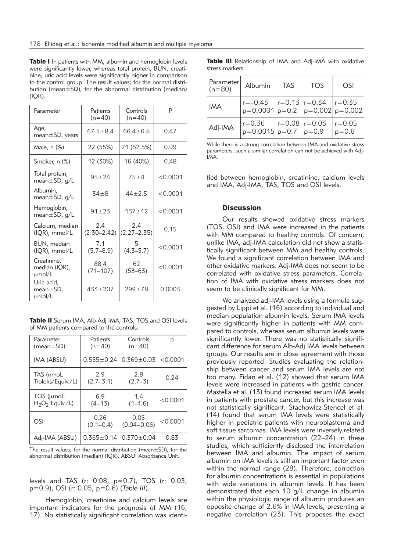Table I In patients with MM, albumin and hemoglobin levels were significantly lower, whereas total protein, BUN, creatinine, uric acid levels were significantly higher in comparison to the control group. The result values; for the normal distribution (mean±SD), for the abnormal distribution (median) (IQR).

| Parameter                              | Controls<br>Patients<br>$(n=40)$<br>$(n=40)$ |                        | P        |
|----------------------------------------|----------------------------------------------|------------------------|----------|
| Age,<br>$mean \pm SD$ , years          | $67.5 \pm 8.4$                               | $66.4 \pm 6.8$         | 0.47     |
| Male, n (%)                            | 22 (55%)                                     | 21 (52.5%)             | 0.99     |
| Smoker, n (%)                          | 12 (30%)                                     | 16 (40%)               | 0.48     |
| Total protein,<br>mean±SD, g/L         | $95 + 24$                                    | $75 + 4$               | < 0.0001 |
| Albumin,<br>mean±SD, g/L               | $34 + 8$                                     | $44 + 2.5$             | < 0.0001 |
| Hemoglobin,<br>mean±SD, g/L            | $91 + 23$                                    | $137 + 12$             | < 0.0001 |
| Calcium, median<br>(IQR), mmol/L       | 2.4<br>$(2.30 - 2.42)$                       | 2.4<br>$(2.27 - 2.35)$ | 0.15     |
| BUN, median<br>$IQR)$ , mmol/L         | 7.1<br>$(5.7 - 8.9)$                         | 5<br>$(4.3 - 5.7)$     | < 0.0001 |
| Creatinine,<br>median (IQR),<br>µmol/L | 62<br>88.4<br>$(71 - 107)$<br>$(53 - 63)$    |                        | < 0.0001 |
| Uric acid,<br>mean±SD,<br>µmol/L       | $433 + 207$                                  | $299 + 78$             | 0.0003   |

Table II Serum IMA, Alb-Adj IMA, TAS, TOS and OSI levels of MM patients compared to the controls.

| Parameter          | Patients              | Controls                | р        |
|--------------------|-----------------------|-------------------------|----------|
| $(mean \pm SD)$    | $(n=40)$              | $(n=40)$                |          |
| IMA (ABSU)         | $0.555 \pm 0.24$      | $0.369 \pm 0.03$        | < 0.0001 |
| TAS (nmoL          | 2.9                   | 2.8                     | 0.24     |
| Troloks/Equiv./L)  | $(2.7 - 3.1)$         | $(2.7-3)$               |          |
| TOS (µmoL          | 6.9                   | 1.4                     | < 0.0001 |
| $H_2O_2$ Equiv./L) | $(4 - 13)$            | $(1 - 1.6)$             |          |
| <b>OSI</b>         | 0.26<br>$(0.1 - 0.4)$ | 0.05<br>$(0.04 - 0.06)$ |          |
| Adi-IMA (ABSU)     | $0.365 \pm 0.14$      | $0.370 \pm 0.04$        | 0.83     |

The result values; for the normal distribution (mean±SD), for the abnormal distribution (median) (IQR). ABSU: Absorbance Unit.

levels and TAS (r: 0.08, p=0.7), TOS (r: 0.03, p=0.9), OSI (r: 0.05, p=0.6) (*Table III*).

Hemoglobin, creatinine and calcium levels are important indicators for the prognosis of MM (16, 17). No statistically significant correlation was identiTable III Relationship of IMA and Adj-IMA with oxidative stress markers.

| Parameter<br>$(n=80)$ | Albumin                                                         | <b>TAS</b>        | <b>TOS</b> | OSI                    |
|-----------------------|-----------------------------------------------------------------|-------------------|------------|------------------------|
| IMA                   | $r=-0.43$ $ r=0.13 r=0.34$<br>$p=0.0001 p=0.2 p=0.002 p=0.002 $ |                   |            | $ r=0.35$              |
| Adj-IMA               | $r = 0.36$<br>$p=0.0015$ $p=0.7$ $p=0.9$                        | $ r=0.08 r=0.03 $ |            | $ r=0.05$<br>$p = 0.6$ |

While there is a strong correlation between IMA and oxidative stress parameters, such a similar correlation can not be achieved with Adj-IMA.

fied between hemoglobin, creatinine, calcium levels and IMA, Adj-IMA, TAS, TOS and OSI levels.

#### **Discussion**

Our results showed oxidative stress markers (TOS, OSI) and IMA were increased in the patients with MM compared to healthy controls. Of concern, unlike IMA, adj-IMA calculation did not show a statistically significant between MM and healthy controls. We found a significant correlation between IMA and other oxidative markers. Adj-IMA does not seem to be correlated with oxidative stress parameters. Correlation of IMA with oxidative stress markers does not seem to be clinically significant for MM.

We analyzed adj-IMA levels using a formula suggested by Lippi et al. (16) according to individual and median population albumin levels. Serum IMA levels were significantly higher in patients with MM compared to controls, whereas serum albumin levels were significantly lower. There was no statistically significant difference for serum Alb-Adj IMA levels between groups. Our results are in close agreement with those previously reported. Studies evaluating the relationship between cancer and serum IMA levels are not too many. Fidan et al. (12) showed that serum IMA levels were increased in patients with gastric cancer. Mastella et al. (13) found increased serum IMA levels in patients with prostate cancer, but this increase was not statistically significant. Stachowicz-Stencel et al. (14) found that serum IMA levels were statistically higher in pediatric patients with neuroblastoma and soft tissue sarcomas. IMA levels were inversely related to serum albumin concentration (22–24) in these studies, which sufficiently disclosed the interrelation between IMA and albumin. The impact of serum albumin on IMA levels is still an important factor even within the normal range (28). Therefore, correction for albumin concentrations is essential in populations with wide variations in albumin levels. It has been demonstrated that each 10 g/L change in albumin within the physiologic range of albumin produces an opposite change of 2.6% in IMA levels, presenting a negative correlation (23). This proposes the exact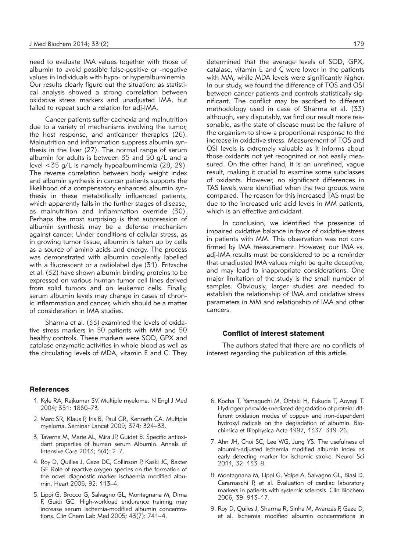need to evaluate IMA values together with those of albumin to avoid possible false-positive or -negative values in individuals with hypo- or hyperalbuminemia. Our results clearly figure out the situation; as statistical analysis showed a strong correlation between oxidative stress markers and unadjusted IMA, but failed to repeat such a relation for adj-IMA.

Cancer patients suffer cachexia and malnutrition due to a variety of mechanisms involving the tumor, the host response, and anticancer therapies (26). Malnutrition and inflammation suppress albumin synthesis in the liver (27). The normal range of serum albumin for adults is between 35 and 50 g/L and a le vel <35 g/L is namely hypoalbuminemia (28, 29). The reverse correlation between body weight index and albumin synthesis in cancer patients supports the likelihood of a compensatory enhanced albumin synthesis in these metabolically influenced patients, which apparently fails in the further stages of disease, as malnutrition and inflammation override (30). Perhaps the most surprising is that suppression of albumin synthesis may be a defense mechanism against cancer. Under conditions of cellular stress, as in growing tumor tissue, albumin is taken up by cells as a source of amino acids and energy. The process was demonstrated with albumin covalently labelled with a fluorescent or a radiolabel dye (31). Fritzsche et al. (32) have shown albumin binding proteins to be expressed on various human tumor cell lines derived from solid tumors and on leukemic cells. Finally, serum albumin levels may change in cases of chronic inflammation and cancer, which should be a matter of consideration in IMA studies.

Sharma et al. (33) examined the levels of oxidative stress markers in 50 patients with MM and 50 healthy controls. These markers were SOD, GPX and catalase enzymatic activities in whole blood as well as the circulating levels of MDA, vitamin E and C. They

#### **References**

- 1. Kyle RA, Rajkumar SV. Multiple myeloma. N Engl J Med 2004; 351: 1860–73.
- 2. Marc SR, Klaus P, Iris B, Paul GR, Kenneth CA. Multiple myeloma. Seminar Lancet 2009; 374: 324–33.
- 3. Taverna M, Marie AL, Mira JP, Guidet B. Specific antioxidant properties of human serum Albumin. Annals of Intensive Care 2013; 3(4): 2–7.
- 4. Roy D, Quilles J, Gaze DC, Collinson P, Kaski JC, Baxter GF. Role of reactive oxygen species on the formation of the novel diagnostic marker ischaemia modified albumin. Heart 2006; 92: 113–4.
- 5. Lippi G, Brocco G, Salvagno GL, Montagnana M, Dima F, Guidi GC. High-workload endurance training may increase serum ischemia-modified albumin concentrations. Clin Chem Lab Med 2005; 43(7): 741–4.

determined that the average levels of SOD, GPX, catalase, vitamin E and C were lower in the patients with MM, while MDA levels were significantly higher. In our study, we found the difference of TOS and OSI between cancer patients and controls statistically significant. The conflict may be ascribed to different methodology used in case of Sharma et al. (33) although, very disputably, we find our result more reasonable, as the state of disease must be the failure of the organism to show a proportional response to the increase in oxidative stress. Measurement of TOS and OSI levels is extremely valuable as it informs about those oxidants not yet recognized or not easily measured. On the other hand, it is an unrefined, vague result, making it crucial to examine some subclasses of oxidants. However, no significant differences in TAS levels were identified when the two groups were compared. The reason for this increased TAS must be due to the increased uric acid levels in MM patients, which is an effective antioxidant.

In conclusion, we identified the presence of impaired oxidative balance in favor of oxidative stress in patients with MM. This observation was not confirmed by IMA measurement. However, our IMA vs. adj-IMA results must be considered to be a reminder that unadjusted IMA values might be quite deceptive, and may lead to inappropriate considerations. One major limitation of the study is the small number of samples. Obviously, larger studies are needed to establish the relationship of IMA and oxidative stress parameters in MM and relationship of IMA and other cancers.

#### Conflict of interest statement

The authors stated that there are no conflicts of interest regarding the publication of this article.

- 6. Kocha T, Yamaguchi M, Ohtaki H, Fukuda T, Aoyagi T. Hydrogen peroxide-mediated degradation of protein: different oxidation modes of copper- and iron-dependent hydroxyl radicals on the degradation of albumin. Biochimica et Biophysica Acta 1997; 1337: 319–26.
- 7. Ahn JH, Choi SC, Lee WG, Jung YS. The usefulness of albumin-adjusted ischemia modified albumin index as early detecting marker for ischemic stroke. Neurol Sci 2011; 32: 133–8.
- 8. Montagnana M, Lippi G, Volpe A, Salvagno GL, Biasi D, Caramaschi P, et al. Evaluation of cardiac laboratory markers in patients with systemic sclerosis. Clin Biochem 2006; 39: 913–17.
- 9. Roy D, Quiles J, Sharma R, Sinha M, Avanzas P, Gaze D, et al. Ischemia modified albumin concentrations in